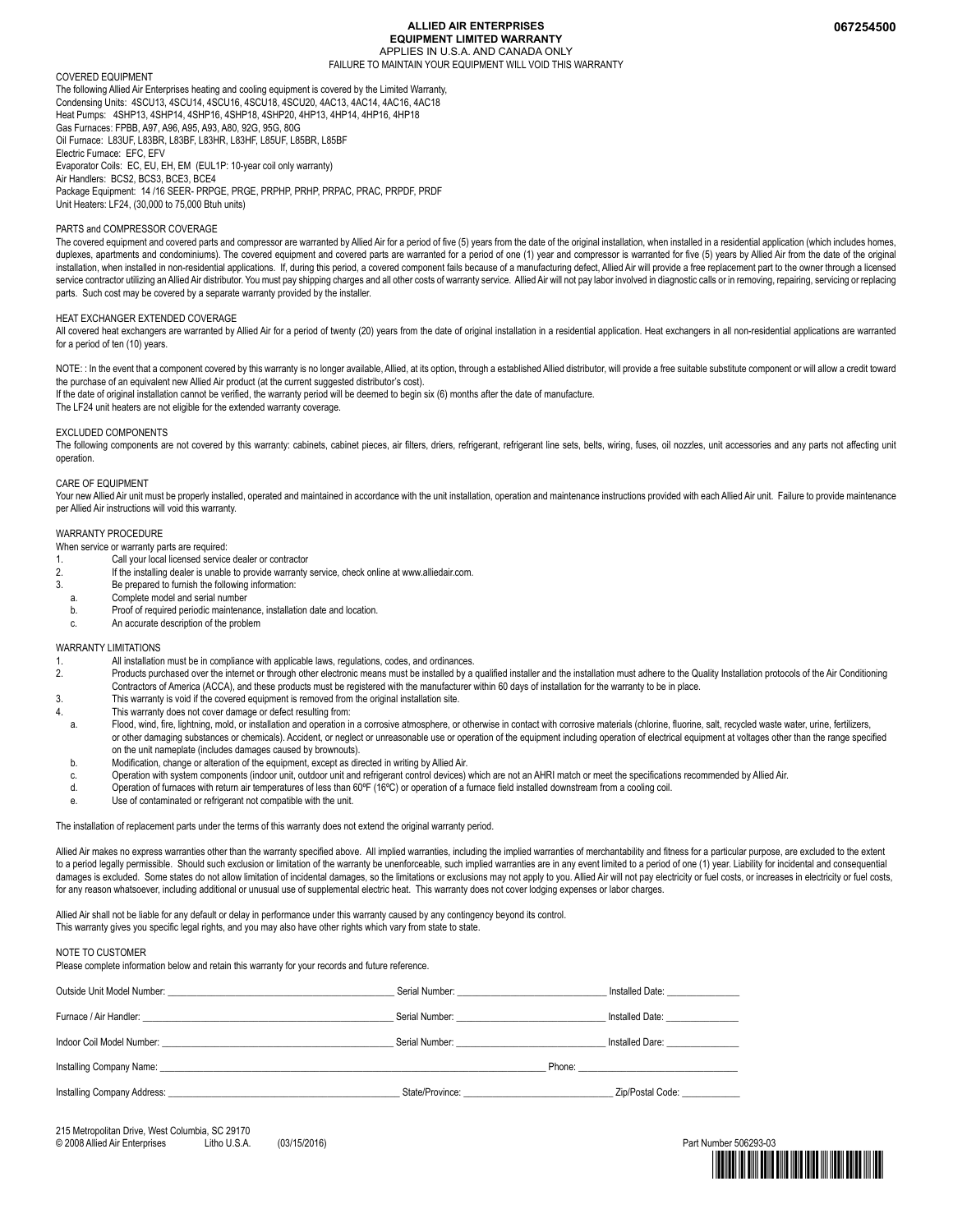#### **ALLIED AIR ENTERPRISES EQUIPMENT LIMITED WARRANTY** APPLIES IN U.S.A. AND CANADA ONLY FAILURE TO MAINTAIN YOUR EQUIPMENT WILL VOID THIS WARRANTY

#### COVERED EQUIPMENT

The following Allied Air Enterprises heating and cooling equipment is covered by the Limited Warranty, Condensing Units: 4SCU13, 4SCU14, 4SCU16, 4SCU18, 4SCU20, 4AC13, 4AC14, 4AC16, 4AC18 Heat Pumps: 4SHP13, 4SHP14, 4SHP16, 4SHP18, 4SHP20, 4HP13, 4HP14, 4HP16, 4HP18 Gas Furnaces: FPBB, A97, A96, A95, A93, A80, 92G, 95G, 80G Oil Furnace: L83UF, L83BR, L83BF, L83HR, L83HF, L85UF, L85BR, L85BF Electric Furnace: EFC, EFV Evaporator Coils: EC, EU, EH, EM (EUL1P: 10-year coil only warranty) Air Handlers: BCS2, BCS3, BCE3, BCE4 Package Equipment: 14/16 SEER- PRPGE, PRGE, PRPHP, PRHP, PRPAC, PRAC, PRPDE, PRDE Unit Heaters: LF24, (30,000 to 75,000 Btuh units)

#### PARTS and COMPRESSOR COVERAGE

The covered equipment and covered parts and compressor are warranted by Allied Air for a period of five (5) years from the date of the original installation, when installed in a residential application (which includes home duplexes, apartments and condominiums). The covered equipment and covered parts are warranted for a period of one (1) year and compressor is warranted for five (5) years by Allied Air from the date of the original installation, when installed in non-residential applications. If, during this period, a covered component fails because of a manufacturing defect, Allied Air will provide a free replacement part to the owner through a lice service contractor utilizing an Allied Air distributor. You must pay shipping charges and all other costs of warranty service. Allied Air will not pay labor involved in diagnostic calls or in removing, repairing, servicing parts. Such cost may be covered by a separate warranty provided by the installer.

#### HEAT EXCHANGER EXTENDED COVERAGE

All covered heat exchangers are warranted by Allied Air for a period of twenty (20) years from the date of original installation in a residential application. Heat exchangers in all non-residential applications are warrant for a period of ten (10) years.

NOTE: : In the event that a component covered by this warranty is no longer available, Allied, at its option, through a established Allied distributor, will provide a free suitable substitute component or will allow a cred the purchase of an equivalent new Allied Air product (at the current suggested distributor's cost). If the date of original installation cannot be verified, the warranty period will be deemed to begin six (6) months after the date of manufacture.

The LF24 unit heaters are not eligible for the extended warranty coverage.

#### EXCLUDED COMPONENTS

The following components are not covered by this warranty: cabinets, cabinet pieces, air filters, dries, refrigerant, refrigerant line sets, belts, wiring, fuses, oil nozzles, unit accessories and any parts not affecting u operation.

#### CARE OF EQUIPMENT

Your new Allied Air unit must be properly installed, operated and maintained in accordance with the unit installation, operation and maintenance instructions provided with each Allied Air unit. Failure to provide maintenan per Allied Air instructions will void this warranty.

#### WARRANTY PROCEDURE

When service or warranty parts are required:

- 1. Call your local licensed service dealer or contractor
- 2. If the installing dealer is unable to provide warranty service, check online at www.alliedair.com.
- 3. Be prepared to furnish the following information:
- a. Complete model and serial number
- b. Proof of required periodic maintenance, installation date and location.
- c. An accurate description of the problem

#### WARRANTY LIMITATIONS

- 1. All installation must be in compliance with applicable laws, regulations, codes, and ordinances.<br>2. Products purchased over the internet or through other electronic means must be installed by a
- Products purchased over the internet or through other electronic means must be installed by a qualified installer and the installation must adhere to the Quality Installation protocols of the Air Conditioning Contractors of America (ACCA), and these products must be registered with the manufacturer within 60 days of installation for the warranty to be in place.
- 3. This warranty is void if the covered equipment is removed from the original installation site.
- This warranty does not cover damage or defect resulting from:
- a. Flood, wind, fire, lightning, mold, or installation and operation in a corrosive atmosphere, or otherwise in contact with corrosive materials (chlorine, fluorine, salt, recycled waste water, urine, fertilizers, or other damaging substances or chemicals). Accident, or neglect or unreasonable use or operation of the equipment including operation of electrical equipment at voltages other than the range specified on the unit nameplate (includes damages caused by brownouts).
- b. Modification, change or alteration of the equipment, except as directed in writing by Allied Air.
- c. Operation with system components (indoor unit, outdoor unit and refrigerant control devices) which are not an AHRI match or meet the specifications recommended by Allied Air.
- d. Operation of furnaces with return air temperatures of less than 60ºF (16ºC) or operation of a furnace field installed downstream from a cooling coil.
- e. Use of contaminated or refrigerant not compatible with the unit.

The installation of replacement parts under the terms of this warranty does not extend the original warranty period.

Allied Air makes no express warranties other than the warranty specified above. All implied warranties, including the implied warranties of merchantability and fitness for a particular purpose, are excluded to the extent to a period legally permissible. Should such exclusion or limitation of the warranty be unenforceable, such implied warranties are in any event limited to a period of one (1) year. Liability for incidental and consequential damages is excluded. Some states do not allow limitation of incidental damages, so the limitations or exclusions may not apply to you. Allied Air will not pay electricity or fuel costs, or increases in electricity or fuel for any reason whatsoever, including additional or unusual use of supplemental electric heat. This warranty does not cover lodging expenses or labor charges.

Allied Air shall not be liable for any default or delay in performance under this warranty caused by any contingency beyond its control. This warranty gives you specific legal rights, and you may also have other rights which vary from state to state

#### NOTE TO CUSTOMER

| Outside Unit Model Number: We have a state of the Model of the Second State of the Unit of the Second State of the Second State of the Second State of the Second State of the Second State of the Second State of the Second |                                           | Installed Date: The Contract of the Contract of the Contract of the Contract of the Contract of the Contract o                                                                                                                 |
|-------------------------------------------------------------------------------------------------------------------------------------------------------------------------------------------------------------------------------|-------------------------------------------|--------------------------------------------------------------------------------------------------------------------------------------------------------------------------------------------------------------------------------|
|                                                                                                                                                                                                                               |                                           | Installed Date: North States                                                                                                                                                                                                   |
| Indoor Coil Model Number: New York 1999                                                                                                                                                                                       | Serial Number: Website and Serial Numbers | Installed Dare: The Control of the Control of the Control of the Control of the Control of the Control of the Control of the Control of the Control of the Control of the Control of the Control of the Control of the Control |
|                                                                                                                                                                                                                               |                                           | Phone: <u>_________________</u>                                                                                                                                                                                                |
|                                                                                                                                                                                                                               | State/Province:                           | Zip/Postal Code:                                                                                                                                                                                                               |

215 Metropolitan Drive, West Columbia, SC 29170<br>© 2008 Allied Air Enterprises [itho USA] © 2008 Allied Air Enterprises Litho U.S.A. (03/15/2016) Part Number 506293-03